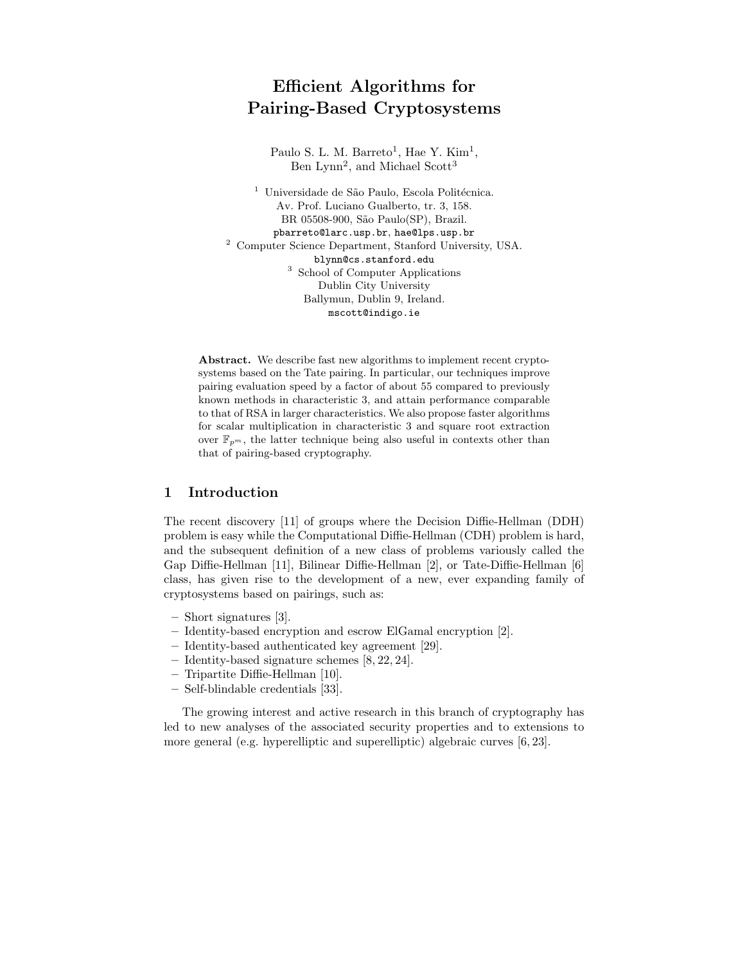# Efficient Algorithms for Pairing-Based Cryptosystems

Paulo S. L. M. Barreto<sup>1</sup>, Hae Y. Kim<sup>1</sup>, Ben Lynn<sup>2</sup>, and Michael Scott<sup>3</sup>

 $^{\rm 1}$ Universidade de São Paulo, Escola Politécnica. Av. Prof. Luciano Gualberto, tr. 3, 158. BR 05508-900, São Paulo(SP), Brazil. pbarreto@larc.usp.br, hae@lps.usp.br <sup>2</sup> Computer Science Department, Stanford University, USA. blynn@cs.stanford.edu <sup>3</sup> School of Computer Applications Dublin City University Ballymun, Dublin 9, Ireland. mscott@indigo.ie

Abstract. We describe fast new algorithms to implement recent cryptosystems based on the Tate pairing. In particular, our techniques improve pairing evaluation speed by a factor of about 55 compared to previously known methods in characteristic 3, and attain performance comparable to that of RSA in larger characteristics. We also propose faster algorithms for scalar multiplication in characteristic 3 and square root extraction over  $\mathbb{F}_{p^m}$ , the latter technique being also useful in contexts other than that of pairing-based cryptography.

# 1 Introduction

The recent discovery [11] of groups where the Decision Diffie-Hellman (DDH) problem is easy while the Computational Diffie-Hellman (CDH) problem is hard, and the subsequent definition of a new class of problems variously called the Gap Diffie-Hellman [11], Bilinear Diffie-Hellman [2], or Tate-Diffie-Hellman [6] class, has given rise to the development of a new, ever expanding family of cryptosystems based on pairings, such as:

- Short signatures [3].
- Identity-based encryption and escrow ElGamal encryption [2].
- Identity-based authenticated key agreement [29].
- Identity-based signature schemes [8, 22, 24].
- Tripartite Diffie-Hellman [10].
- Self-blindable credentials [33].

The growing interest and active research in this branch of cryptography has led to new analyses of the associated security properties and to extensions to more general (e.g. hyperelliptic and superelliptic) algebraic curves [6, 23].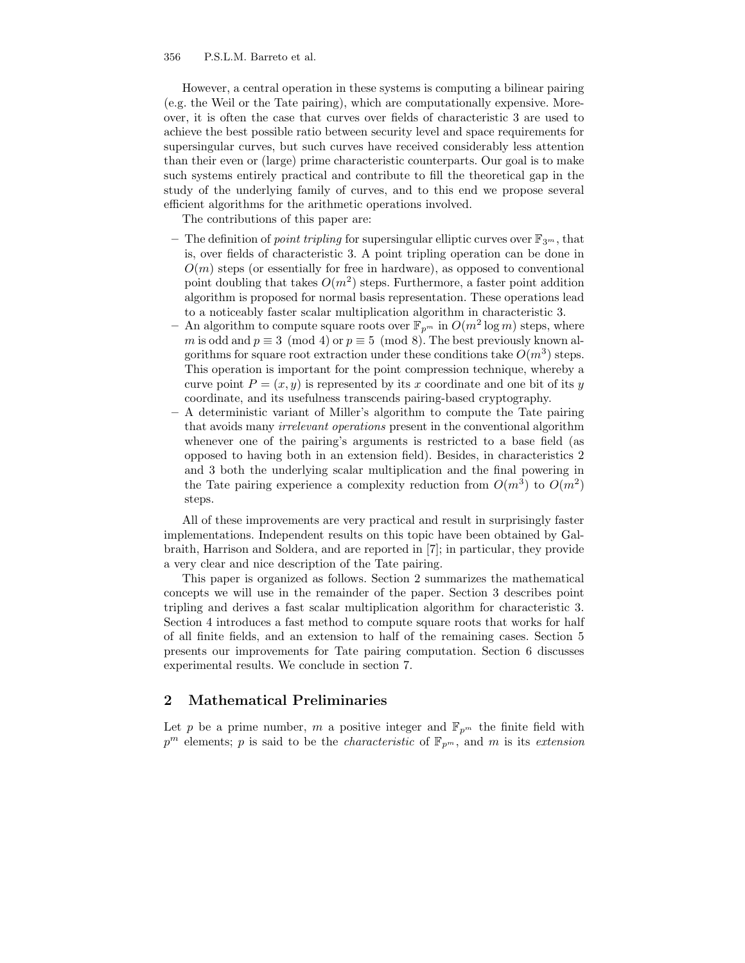356 P.S.L.M. Barreto et al.

However, a central operation in these systems is computing a bilinear pairing (e.g. the Weil or the Tate pairing), which are computationally expensive. Moreover, it is often the case that curves over fields of characteristic 3 are used to achieve the best possible ratio between security level and space requirements for supersingular curves, but such curves have received considerably less attention than their even or (large) prime characteristic counterparts. Our goal is to make such systems entirely practical and contribute to fill the theoretical gap in the study of the underlying family of curves, and to this end we propose several efficient algorithms for the arithmetic operations involved.

The contributions of this paper are:

- The definition of *point tripling* for supersingular elliptic curves over  $\mathbb{F}_{3^m}$ , that is, over fields of characteristic 3. A point tripling operation can be done in  $O(m)$  steps (or essentially for free in hardware), as opposed to conventional point doubling that takes  $O(m^2)$  steps. Furthermore, a faster point addition algorithm is proposed for normal basis representation. These operations lead to a noticeably faster scalar multiplication algorithm in characteristic 3.
- An algorithm to compute square roots over  $\mathbb{F}_{p^m}$  in  $O(m^2 \log m)$  steps, where m is odd and  $p \equiv 3 \pmod{4}$  or  $p \equiv 5 \pmod{8}$ . The best previously known algorithms for square root extraction under these conditions take  $O(m^3)$  steps. This operation is important for the point compression technique, whereby a curve point  $P = (x, y)$  is represented by its x coordinate and one bit of its y coordinate, and its usefulness transcends pairing-based cryptography.
- A deterministic variant of Miller's algorithm to compute the Tate pairing that avoids many irrelevant operations present in the conventional algorithm whenever one of the pairing's arguments is restricted to a base field (as opposed to having both in an extension field). Besides, in characteristics 2 and 3 both the underlying scalar multiplication and the final powering in the Tate pairing experience a complexity reduction from  $O(m^3)$  to  $O(m^2)$ steps.

All of these improvements are very practical and result in surprisingly faster implementations. Independent results on this topic have been obtained by Galbraith, Harrison and Soldera, and are reported in [7]; in particular, they provide a very clear and nice description of the Tate pairing.

This paper is organized as follows. Section 2 summarizes the mathematical concepts we will use in the remainder of the paper. Section 3 describes point tripling and derives a fast scalar multiplication algorithm for characteristic 3. Section 4 introduces a fast method to compute square roots that works for half of all finite fields, and an extension to half of the remaining cases. Section 5 presents our improvements for Tate pairing computation. Section 6 discusses experimental results. We conclude in section 7.

# 2 Mathematical Preliminaries

Let p be a prime number, m a positive integer and  $\mathbb{F}_{p^m}$  the finite field with  $p^m$  elements; p is said to be the *characteristic* of  $\mathbb{F}_{p^m}$ , and m is its extension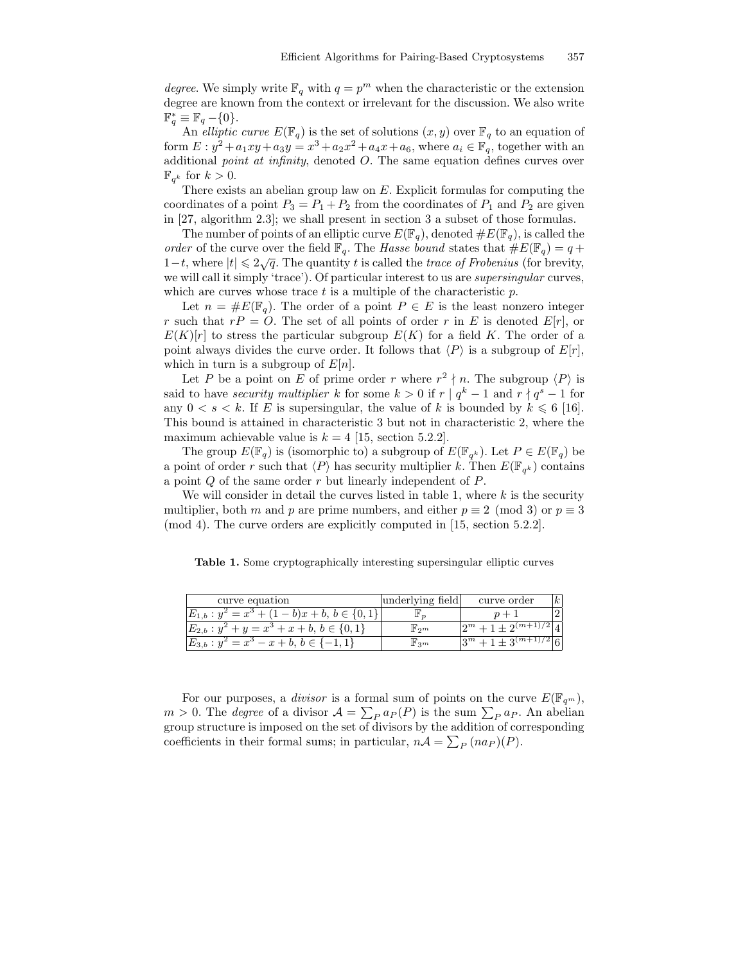degree. We simply write  $\mathbb{F}_q$  with  $q = p^m$  when the characteristic or the extension degree are known from the context or irrelevant for the discussion. We also write  $\mathbb{F}_q^* \equiv \mathbb{F}_q - \{0\}.$ 

An elliptic curve  $E(\mathbb{F}_q)$  is the set of solutions  $(x, y)$  over  $\mathbb{F}_q$  to an equation of form  $E: y^2 + a_1xy + a_3y = x^3 + a_2x^2 + a_4x + a_6$ , where  $a_i \in \mathbb{F}_q$ , together with an additional point at infinity, denoted O. The same equation defines curves over  $\mathbb{F}_{q^k}$  for  $k > 0$ .

There exists an abelian group law on E. Explicit formulas for computing the coordinates of a point  $P_3 = P_1 + P_2$  from the coordinates of  $P_1$  and  $P_2$  are given in [27, algorithm 2.3]; we shall present in section 3 a subset of those formulas.

The number of points of an elliptic curve  $E(\mathbb{F}_q)$ , denoted  $\#E(\mathbb{F}_q)$ , is called the order of the curve over the field  $\mathbb{F}_q$ . The Hasse bound states that  $\#E(\mathbb{F}_q) = q +$ 1-t, where  $|t| \leq 2\sqrt{q}$ . The quantity t is called the trace of Frobenius (for brevity, we will call it simply 'trace'). Of particular interest to us are *supersingular* curves, which are curves whose trace  $t$  is a multiple of the characteristic  $p$ .

Let  $n = \#E(\mathbb{F}_q)$ . The order of a point  $P \in E$  is the least nonzero integer r such that  $r = 0$ . The set of all points of order r in E is denoted  $E[r]$ , or  $E(K)[r]$  to stress the particular subgroup  $E(K)$  for a field K. The order of a point always divides the curve order. It follows that  $\langle P \rangle$  is a subgroup of  $E[r]$ , which in turn is a subgroup of  $E[n]$ .

Let P be a point on E of prime order r where  $r^2 \nmid n$ . The subgroup  $\langle P \rangle$  is said to have *security multiplier* k for some  $k > 0$  if  $r | q^k - 1$  and  $r | q^s - 1$  for any  $0 < s < k$ . If E is supersingular, the value of k is bounded by  $k \leq 6$  [16]. This bound is attained in characteristic 3 but not in characteristic 2, where the maximum achievable value is  $k = 4$  [15, section 5.2.2].

The group  $E(\mathbb{F}_q)$  is (isomorphic to) a subgroup of  $E(\mathbb{F}_{q^k})$ . Let  $P \in E(\mathbb{F}_q)$  be a point of order r such that  $\langle P \rangle$  has security multiplier k. Then  $E(\mathbb{F}_{q^k})$  contains a point Q of the same order r but linearly independent of P.

We will consider in detail the curves listed in table 1, where  $k$  is the security multiplier, both m and p are prime numbers, and either  $p \equiv 2 \pmod{3}$  or  $p \equiv 3$ (mod 4). The curve orders are explicitly computed in [15, section 5.2.2].

Table 1. Some cryptographically interesting supersingular elliptic curves

| curve equation                                  | underlying field            | curve order               |  |
|-------------------------------------------------|-----------------------------|---------------------------|--|
| $b)x + b, b \in \{0, \}$<br>$\cdot = x^{\circ}$ |                             |                           |  |
| $E_{2,b}$<br>$+y=x^3+x+b, b \in \{0,1\}$        | $\mathbb{F}_2$ <sub>m</sub> | $\Omega$<br>$(m+1)/2$     |  |
| $E_{3,b}$<br>$-x+b, b$                          | 1, 3m                       | $(m+1)$<br>$\mathfrak{m}$ |  |

For our purposes, a *divisor* is a formal sum of points on the curve  $E(\mathbb{F}_{q^m})$ ,  $m > 0$ . The *degree* of a divisor  $\mathcal{A} = \sum_{P} a_P(P)$  is the sum  $\sum_{P} a_P$ . An abelian group structure is imposed on the set of divisors by the addition of corresponding coefficients in their formal sums; in particular,  $nA = \sum_P (n a_P)(P)$ .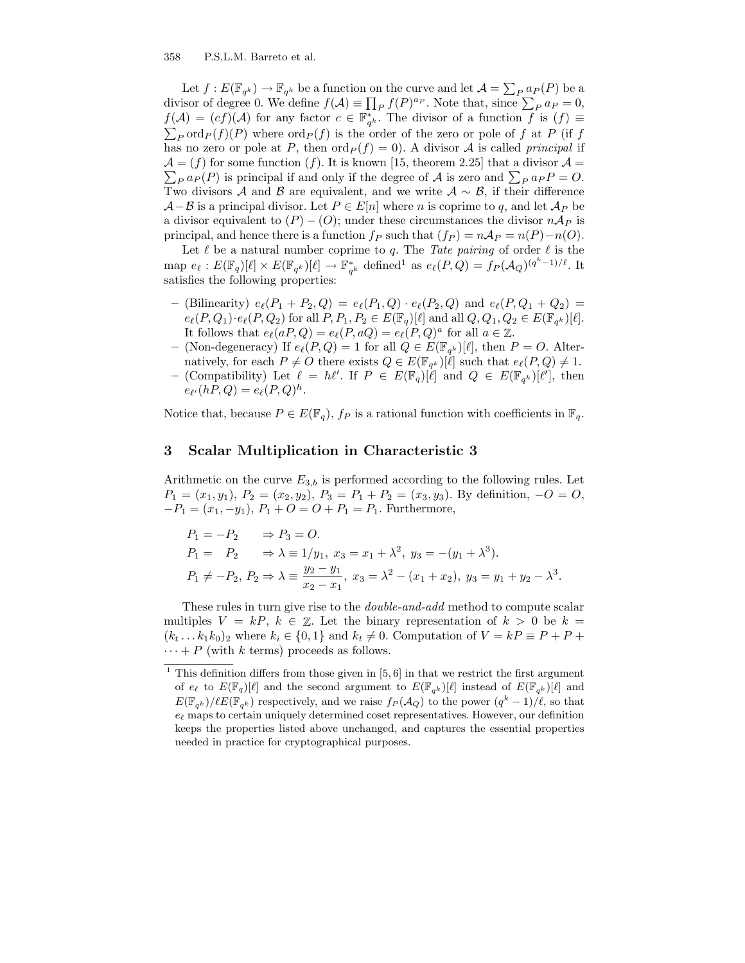Let  $f: E(\mathbb{F}_{q^k}) \to \mathbb{F}_{q^k}$  be a function on the curve and let  $\mathcal{A} = \sum_{P} a_P(P)$  be a divisor of degree 0. We define  $f(\mathcal{A}) \equiv \prod_P f(P)^{ap}$ . Note that, since  $\sum_P a_P = 0$ ,  $f(\mathcal{A}) = (cf)(\mathcal{A})$  for any factor  $c \in \mathbb{F}_{q^k}^*$ . The divisor of a function f is  $(f) \equiv$  $\sum_P \text{ord}_P(f)(P)$  where  $\text{ord}_P(f)$  is the order of the zero or pole of f at P (if f has no zero or pole at P, then  $\text{ord}_P(f) = 0$ . A divisor A is called *principal* if  $\mathcal{A} = (f)$  for some function  $(f)$ . It is known [15, theorem 2.25] that a divisor  $\mathcal{A} =$  $\mathcal{A} = (f)$  for some function (f). It is known [15, theorem 2.25] that a divisor  $\mathcal{A} = \sum_{P} a_P(P)$  is principal if and only if the degree of  $\mathcal{A}$  is zero and  $\sum_{P} a_P P = O$ . Two divisors A and B are equivalent, and we write  $A \sim B$ , if their difference  $A-B$  is a principal divisor. Let  $P \in E[n]$  where n is coprime to q, and let  $A_P$  be a divisor equivalent to  $(P) - (O)$ ; under these circumstances the divisor  $n \mathcal{A}_P$  is principal, and hence there is a function  $f_P$  such that  $(f_P) = nAp = n(P) - n(O)$ .

Let  $\ell$  be a natural number coprime to q. The Tate pairing of order  $\ell$  is the map  $e_\ell : E(\mathbb{F}_q)[\ell] \times E(\mathbb{F}_{q^k})[\ell] \to \mathbb{F}_{q^k}^*$  defined<sup>1</sup> as  $e_\ell(P,Q) = f_P(\mathcal{A}_Q)^{(q^k-1)/\ell}$ . It satisfies the following properties:

- (Bilinearity)  $e_{\ell}(P_1 + P_2, Q) = e_{\ell}(P_1, Q) \cdot e_{\ell}(P_2, Q)$  and  $e_{\ell}(P, Q_1 + Q_2) =$  $e_{\ell}(P, Q_1) \cdot e_{\ell}(P, Q_2)$  for all  $P, P_1, P_2 \in E(\mathbb{F}_q)[\ell]$  and all  $Q, Q_1, Q_2 \in E(\mathbb{F}_{q^k})[\ell]$ . It follows that  $e_{\ell}(aP,Q) = e_{\ell}(P,aQ) = e_{\ell}(P,Q)^{a}$  for all  $a \in \mathbb{Z}$ .
- (Non-degeneracy) If  $e_{\ell}(P,Q) = 1$  for all  $Q \in E(\mathbb{F}_{q^k})[\ell]$ , then  $P = Q$ . Alternatively, for each  $P \neq O$  there exists  $Q \in E(\mathbb{F}_{q^k})[\ell]$  such that  $e_{\ell}(P,Q) \neq 1$ .
- (Compatibility) Let  $\ell = h\ell'$ . If  $P \in E(\mathbb{F}_q)[\ell]$  and  $Q \in E(\mathbb{F}_{q^k})[\ell']$ , then  $e_{\ell'}(hP,Q) = e_{\ell}(P,Q)^h.$

Notice that, because  $P \in E(\mathbb{F}_q)$ ,  $f_P$  is a rational function with coefficients in  $\mathbb{F}_q$ .

# 3 Scalar Multiplication in Characteristic 3

Arithmetic on the curve  $E_{3,b}$  is performed according to the following rules. Let  $P_1 = (x_1, y_1), P_2 = (x_2, y_2), P_3 = P_1 + P_2 = (x_3, y_3)$ . By definition,  $-O = O$ ,  $-P_1 = (x_1, -y_1), P_1 + O = O + P_1 = P_1$ . Furthermore,

$$
P_1 = -P_2 \Rightarrow P_3 = O.
$$
  
\n
$$
P_1 = P_2 \Rightarrow \lambda \equiv 1/y_1, x_3 = x_1 + \lambda^2, y_3 = -(y_1 + \lambda^3).
$$
  
\n
$$
P_1 \neq -P_2, P_2 \Rightarrow \lambda \equiv \frac{y_2 - y_1}{x_2 - x_1}, x_3 = \lambda^2 - (x_1 + x_2), y_3 = y_1 + y_2 - \lambda^3.
$$

These rules in turn give rise to the double-and-add method to compute scalar multiples  $V = kP, k \in \mathbb{Z}$ . Let the binary representation of  $k > 0$  be  $k =$  $(k_t \dots k_1 k_0)_2$  where  $k_i \in \{0,1\}$  and  $k_t \neq 0$ . Computation of  $V = kP \equiv P + P +$  $\cdots + P$  (with k terms) proceeds as follows.

 $^{\rm 1}$  This definition differs from those given in  $[5,6]$  in that we restrict the first argument of  $e_\ell$  to  $E(\mathbb{F}_q)[\ell]$  and the second argument to  $E(\mathbb{F}_{q^k})[\ell]$  instead of  $E(\mathbb{F}_{q^k})[\ell]$  and  $E(\mathbb{F}_{q^k})/E(\mathbb{F}_{q^k})$  respectively, and we raise  $f_P(\mathcal{A}_Q)$  to the power  $(q^k-1)/\ell$ , so that  $e_\ell$  maps to certain uniquely determined coset representatives. However, our definition keeps the properties listed above unchanged, and captures the essential properties needed in practice for cryptographical purposes.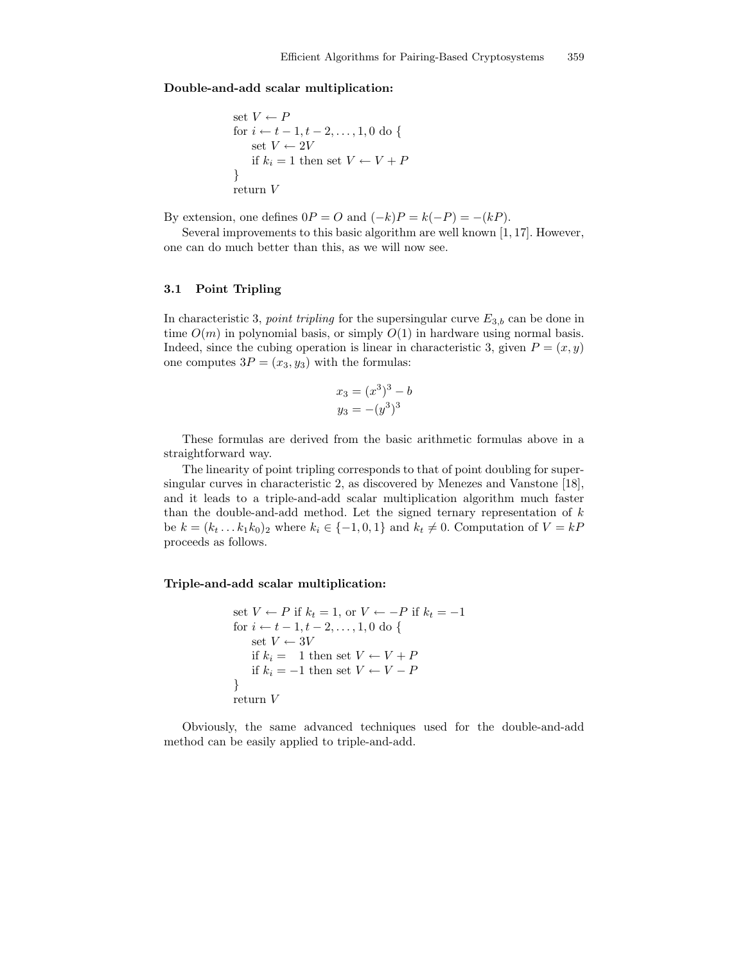#### Double-and-add scalar multiplication:

set 
$$
V \leftarrow P
$$
  
for  $i \leftarrow t - 1, t - 2, ..., 1, 0$  do {  
set  $V \leftarrow 2V$   
if  $k_i = 1$  then set  $V \leftarrow V + P$   
}  
return  $V$ 

By extension, one defines  $0P = O$  and  $(-k)P = k(-P) = -(kP)$ .

Several improvements to this basic algorithm are well known [1, 17]. However, one can do much better than this, as we will now see.

## 3.1 Point Tripling

In characteristic 3, *point tripling* for the supersingular curve  $E_{3,b}$  can be done in time  $O(m)$  in polynomial basis, or simply  $O(1)$  in hardware using normal basis. Indeed, since the cubing operation is linear in characteristic 3, given  $P = (x, y)$ one computes  $3P = (x_3, y_3)$  with the formulas:

$$
x_3 = (x^3)^3 - b
$$
  

$$
y_3 = -(y^3)^3
$$

These formulas are derived from the basic arithmetic formulas above in a straightforward way.

The linearity of point tripling corresponds to that of point doubling for supersingular curves in characteristic 2, as discovered by Menezes and Vanstone [18], and it leads to a triple-and-add scalar multiplication algorithm much faster than the double-and-add method. Let the signed ternary representation of  $k$ be  $k = (k_t \dots k_1 k_0)_2$  where  $k_i \in \{-1, 0, 1\}$  and  $k_t \neq 0$ . Computation of  $V = kP$ proceeds as follows.

## Triple-and-add scalar multiplication:

set 
$$
V \leftarrow P
$$
 if  $k_t = 1$ , or  $V \leftarrow -P$  if  $k_t = -1$   
for  $i \leftarrow t - 1, t - 2, ..., 1, 0$  do {  
set  $V \leftarrow 3V$   
if  $k_i = 1$  then set  $V \leftarrow V + P$   
if  $k_i = -1$  then set  $V \leftarrow V - P$   
}  
return  $V$ 

Obviously, the same advanced techniques used for the double-and-add method can be easily applied to triple-and-add.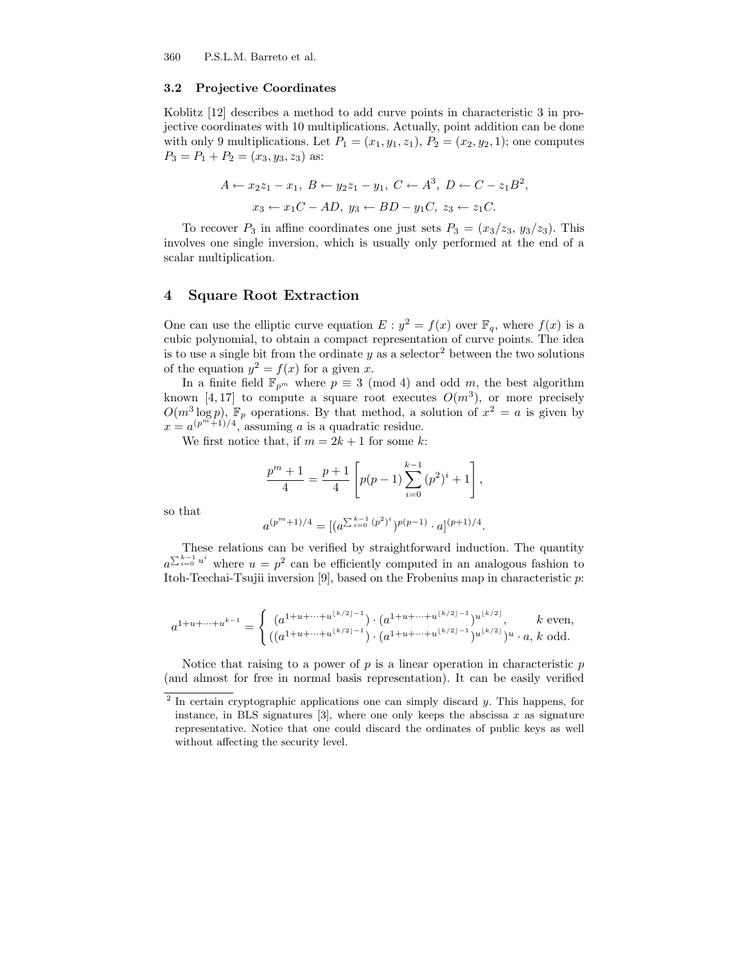360 P.S.L.M. Barreto et al.

#### 3.2 Projective Coordinates

Koblitz [12] describes a method to add curve points in characteristic 3 in projective coordinates with 10 multiplications. Actually, point addition can be done with only 9 multiplications. Let  $P_1 = (x_1, y_1, z_1), P_2 = (x_2, y_2, 1)$ ; one computes  $P_3 = P_1 + P_2 = (x_3, y_3, z_3)$  as:

$$
A \leftarrow x_2 z_1 - x_1, B \leftarrow y_2 z_1 - y_1, C \leftarrow A^3, D \leftarrow C - z_1 B^2,
$$
  
 $x_3 \leftarrow x_1 C - AD, y_3 \leftarrow BD - y_1 C, z_3 \leftarrow z_1 C.$ 

To recover  $P_3$  in affine coordinates one just sets  $P_3 = (x_3/z_3, y_3/z_3)$ . This involves one single inversion, which is usually only performed at the end of a scalar multiplication.

# 4 Square Root Extraction

One can use the elliptic curve equation  $E : y^2 = f(x)$  over  $\mathbb{F}_q$ , where  $f(x)$  is a cubic polynomial, to obtain a compact representation of curve points. The idea is to use a single bit from the ordinate  $y$  as a selector<sup>2</sup> between the two solutions of the equation  $y^2 = f(x)$  for a given x.

In a finite field  $\mathbb{F}_{p^m}$  where  $p \equiv 3 \pmod{4}$  and odd m, the best algorithm known [4,17] to compute a square root executes  $O(m^3)$ , or more precisely  $O(m^3 \log p)$ ,  $\mathbb{F}_p$  operations. By that method, a solution of  $x^2 = a$  is given by  $x = a^{(p^m+1)/4}$ , assuming a is a quadratic residue.

We first notice that, if  $m = 2k + 1$  for some k:

$$
\frac{p^{m}+1}{4} = \frac{p+1}{4} \left[ p(p-1) \sum_{i=0}^{k-1} (p^{2})^{i} + 1 \right],
$$

so that

$$
a^{(p^m+1)/4} = [(a^{\sum_{i=0}^{k-1} (p^2)^i})^{p(p-1)} \cdot a]^{(p+1)/4}.
$$

These relations can be verified by straightforward induction. The quantity  $a^{\sum_{i=0}^{k-1}u^i}$  where  $u=p^2$  can be efficiently computed in an analogous fashion to Itoh-Teechai-Tsujii inversion [9], based on the Frobenius map in characteristic p:

$$
a^{1+u+\cdots+u^{k-1}}=\begin{cases} (a^{1+u+\cdots+u^{\lfloor k/2\rfloor-1}})\cdot (a^{1+u+\cdots+u^{\lfloor k/2\rfloor-1}})^{u^{\lfloor k/2\rfloor}}, & k \text{ even},\\ ((a^{1+u+\cdots+u^{\lfloor k/2\rfloor-1}})\cdot (a^{1+u+\cdots+u^{\lfloor k/2\rfloor-1}})^{u^{\lfloor k/2\rfloor}})^{u}\cdot a, & k \text{ odd}. \end{cases}
$$

Notice that raising to a power of  $p$  is a linear operation in characteristic  $p$ (and almost for free in normal basis representation). It can be easily verified

<sup>&</sup>lt;sup>2</sup> In certain cryptographic applications one can simply discard  $y$ . This happens, for instance, in BLS signatures  $[3]$ , where one only keeps the abscissa x as signature representative. Notice that one could discard the ordinates of public keys as well without affecting the security level.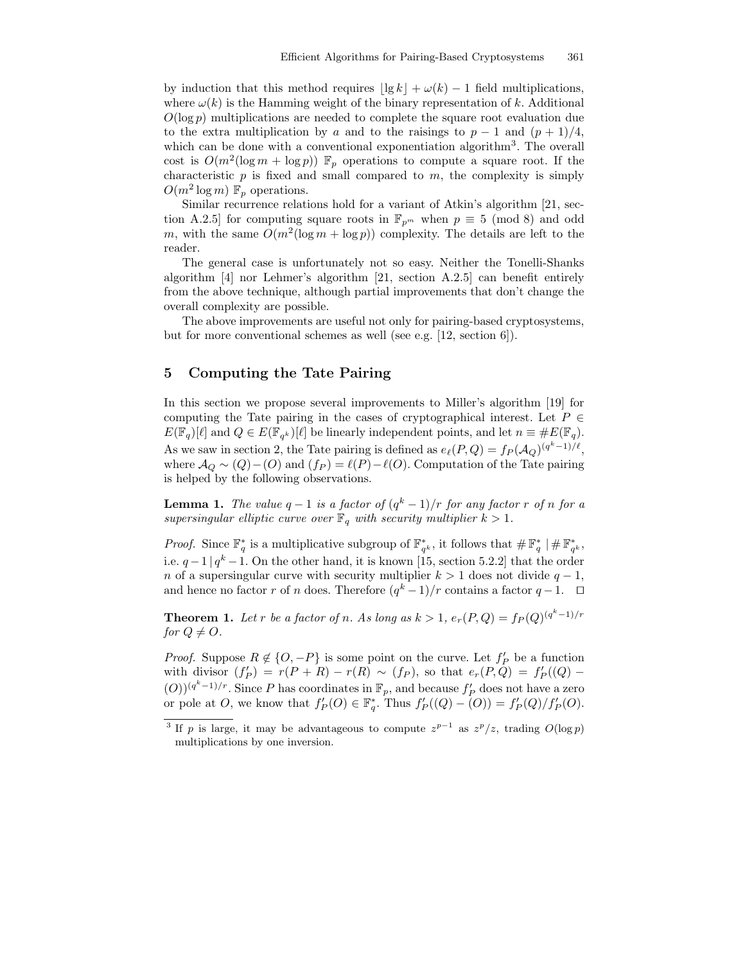by induction that this method requires  $|\lg k| + \omega(k) - 1$  field multiplications, where  $\omega(k)$  is the Hamming weight of the binary representation of k. Additional  $O(\log p)$  multiplications are needed to complete the square root evaluation due to the extra multiplication by a and to the raisings to  $p-1$  and  $(p+1)/4$ , which can be done with a conventional exponentiation algorithm<sup>3</sup>. The overall cost is  $O(m^2(\log m + \log p))$   $\mathbb{F}_p$  operations to compute a square root. If the characteristic  $p$  is fixed and small compared to  $m$ , the complexity is simply  $O(m^2 \log m)$   $\mathbb{F}_p$  operations.

Similar recurrence relations hold for a variant of Atkin's algorithm [21, section A.2.5] for computing square roots in  $\mathbb{F}_{p^m}$  when  $p \equiv 5 \pmod{8}$  and odd m, with the same  $O(m^2(\log m + \log p))$  complexity. The details are left to the reader.

The general case is unfortunately not so easy. Neither the Tonelli-Shanks algorithm [4] nor Lehmer's algorithm [21, section A.2.5] can benefit entirely from the above technique, although partial improvements that don't change the overall complexity are possible.

The above improvements are useful not only for pairing-based cryptosystems, but for more conventional schemes as well (see e.g. [12, section 6]).

# 5 Computing the Tate Pairing

In this section we propose several improvements to Miller's algorithm [19] for computing the Tate pairing in the cases of cryptographical interest. Let  $P \in$  $E(\mathbb{F}_q)[\ell]$  and  $Q \in E(\mathbb{F}_{q^k})[\ell]$  be linearly independent points, and let  $n \equiv \#E(\mathbb{F}_q)$ . As we saw in section 2, the Tate pairing is defined as  $e_{\ell}(P,Q) = f_P (\mathcal{A}_Q)^{(q^k-1)/\ell}$ , where  $\mathcal{A}_{Q} \sim (Q) - (O)$  and  $(f_P) = \ell(P) - \ell(O)$ . Computation of the Tate pairing is helped by the following observations.

**Lemma 1.** The value  $q-1$  is a factor of  $(q^k-1)/r$  for any factor r of n for a supersingular elliptic curve over  $\mathbb{F}_q$  with security multiplier  $k > 1$ .

*Proof.* Since  $\mathbb{F}_q^*$  is a multiplicative subgroup of  $\mathbb{F}_{q^k}^*$ , it follows that  $\# \mathbb{F}_q^* \mid \# \mathbb{F}_{q^k}^*$ , i.e.  $q-1|q^k-1$ . On the other hand, it is known [15, section 5.2.2] that the order n of a supersingular curve with security multiplier  $k > 1$  does not divide  $q - 1$ , and hence no factor r of n does. Therefore  $(q^k-1)/r$  contains a factor  $q-1$ .  $\Box$ 

**Theorem 1.** Let r be a factor of n. As long as  $k > 1$ ,  $e_r(P,Q) = f_P(Q)^{(q^k-1)/r}$ for  $Q \neq O$ .

*Proof.* Suppose  $R \notin \{O, -P\}$  is some point on the curve. Let  $f'_P$  be a function with divisor  $(f'_P) = r(P + R) - r(R) \sim (f_P)$ , so that  $e_r(P,Q) = f'_P((Q) (O)$ <sup>( $q<sup>k</sup>-1$ )/r. Since P has coordinates in  $\mathbb{F}_p$ , and because  $f'_{P}$  does not have a zero</sup> or pole at O, we know that  $f'_{P}(O) \in \mathbb{F}_{q}^{*}$ . Thus  $f'_{P}((Q) - (O)) = f'_{P}(Q)/f'_{P}(O)$ .

<sup>&</sup>lt;sup>3</sup> If p is large, it may be advantageous to compute  $z^{p-1}$  as  $z^p/z$ , trading  $O(\log p)$ multiplications by one inversion.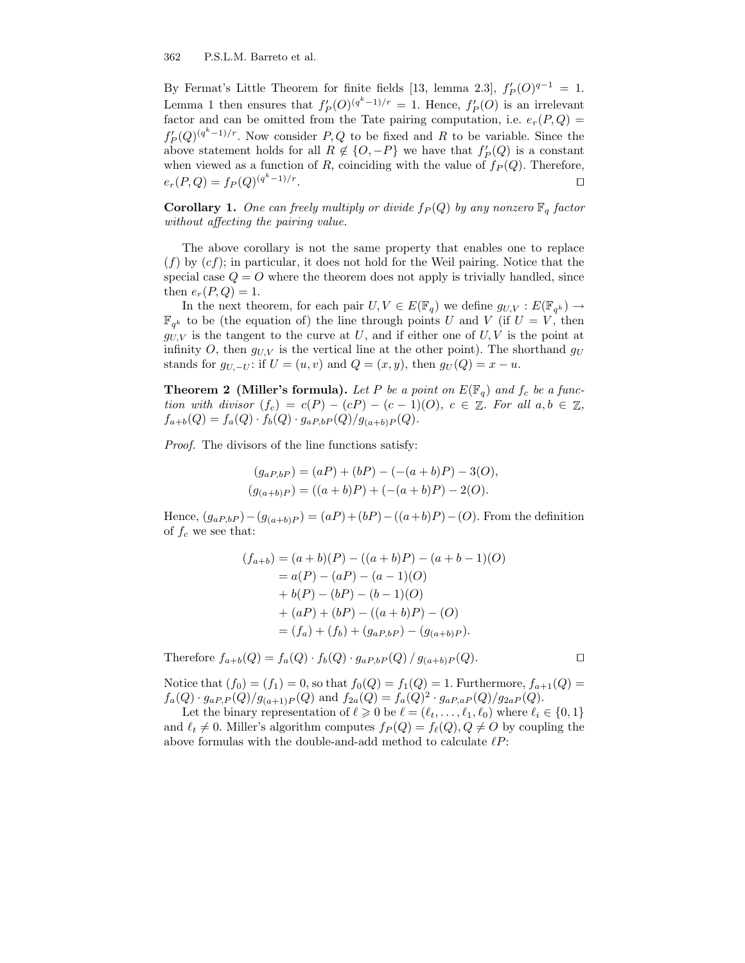By Fermat's Little Theorem for finite fields [13, lemma 2.3],  $f'_P(O)^{q-1} = 1$ . Lemma 1 then ensures that  $f'_{P}(O)^{(q^{k}-1)/r} = 1$ . Hence,  $f'_{P}(O)$  is an irrelevant factor and can be omitted from the Tate pairing computation, i.e.  $e_r(P,Q)$  $f'_{P}(Q)^{(q^{k}-1)/r}$ . Now consider P, Q to be fixed and R to be variable. Since the above statement holds for all  $R \notin \{O, -P\}$  we have that  $f'_{P}(Q)$  is a constant when viewed as a function of R, coinciding with the value of  $f_P(Q)$ . Therefore,  $e_r(P,Q) = f_P(Q)^{(q^k-1)/r}$ . The contract of the contract of the contract of the contract of the contract of the contract of the contract<br>The contract of the contract of the contract of the contract of the contract of the contract of the contract o

**Corollary 1.** One can freely multiply or divide  $f_P(Q)$  by any nonzero  $\mathbb{F}_q$  factor without affecting the pairing value.

The above corollary is not the same property that enables one to replace  $(f)$  by  $(cf)$ ; in particular, it does not hold for the Weil pairing. Notice that the special case  $Q = O$  where the theorem does not apply is trivially handled, since then  $e_r(P,Q) = 1$ .

In the next theorem, for each pair  $U, V \in E(\mathbb{F}_q)$  we define  $g_{U,V} : E(\mathbb{F}_{q^k}) \to$  $\mathbb{F}_{q^k}$  to be (the equation of) the line through points U and V (if  $U = V$ , then  $g_{U,V}$  is the tangent to the curve at U, and if either one of U, V is the point at infinity O, then  $g_{U,V}$  is the vertical line at the other point). The shorthand  $g_U$ stands for  $g_{U,-U}$ : if  $U = (u, v)$  and  $Q = (x, y)$ , then  $g_U(Q) = x - u$ .

**Theorem 2 (Miller's formula).** Let P be a point on  $E(\mathbb{F}_q)$  and  $f_c$  be a function with divisor  $(f_c) = c(P) - (cP) - (c - 1)(O)$ ,  $c \in \mathbb{Z}$ . For all  $a, b \in \mathbb{Z}$ ,  $f_{a+b}(Q) = f_a(Q) \cdot f_b(Q) \cdot g_{aP,bP}(Q)/g_{(a+b)P}(Q).$ 

Proof. The divisors of the line functions satisfy:

$$
(g_{aP,bP}) = (aP) + (bP) - (-(a+b)P) - 3(O),
$$
  
\n
$$
(g_{(a+b)P}) = ((a+b)P) + (-(a+b)P) - 2(O).
$$

Hence,  $(g_{aP,bP})-(g_{(a+b)P}) = (aP)+(bP)-((a+b)P)-(O)$ . From the definition of  $f_c$  we see that:

$$
(f_{a+b}) = (a+b)(P) - ((a+b)P) - (a+b-1)(O)
$$
  
= a(P) - (aP) - (a-1)(O)  
+ b(P) - (bP) - (b-1)(O)  
+ (aP) + (bP) - ((a+b)P) - (O)  
= (f<sub>a</sub>) + (f<sub>b</sub>) + (g<sub>aP,bP</sub>) - (g<sub>(a+b)P</sub>).

Therefore  $f_{a+b}(Q) = f_a(Q) \cdot f_b(Q) \cdot g_{aP,bP}(Q) / g_{(a+b)P}(Q)$ .

Notice that  $(f_0) = (f_1) = 0$ , so that  $f_0(Q) = f_1(Q) = 1$ . Furthermore,  $f_{a+1}(Q) =$  $f_a(Q) \cdot g_{aP,P}(Q)/g_{(a+1)P}(Q)$  and  $f_{2a}(Q) = f_a(Q)^2 \cdot g_{aP,aP}(Q)/g_{2aP}(Q)$ .

Let the binary representation of  $\ell \geq 0$  be  $\ell = (\ell_t, \ldots, \ell_1, \ell_0)$  where  $\ell_i \in \{0, 1\}$ and  $\ell_t \neq 0$ . Miller's algorithm computes  $f_P(Q) = f_{\ell}(Q), Q \neq O$  by coupling the above formulas with the double-and-add method to calculate  $\ell P$ :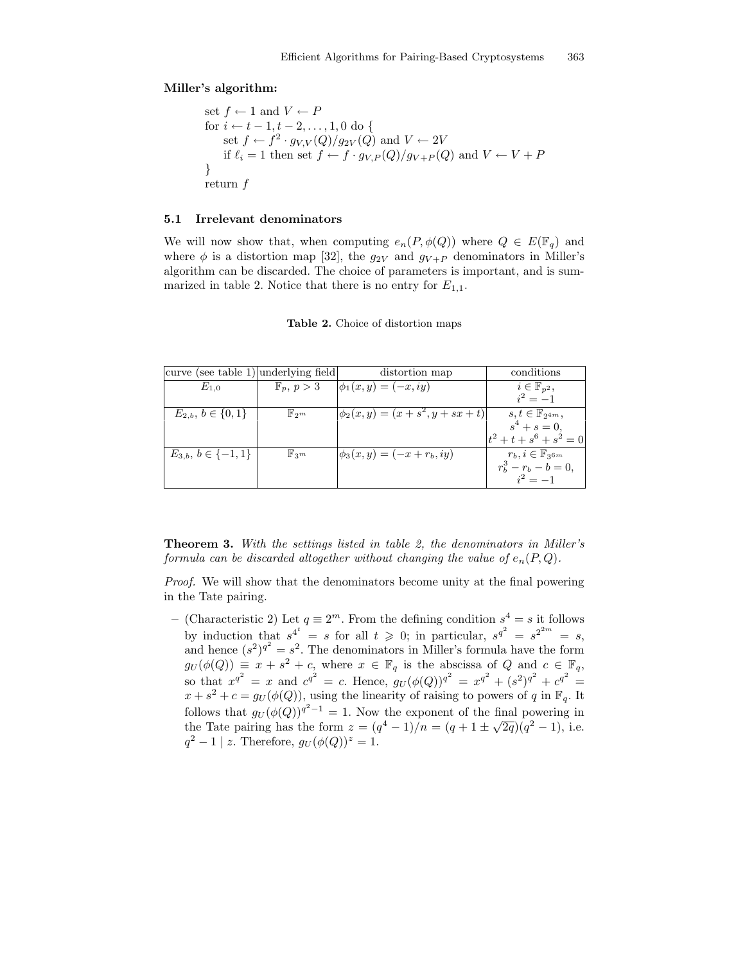#### Miller's algorithm:

set 
$$
f \leftarrow 1
$$
 and  $V \leftarrow P$   
for  $i \leftarrow t - 1, t - 2, ..., 1, 0$  do {  
set  $f \leftarrow f^2 \cdot g_{V,V}(Q)/g_{2V}(Q)$  and  $V \leftarrow 2V$   
if  $\ell_i = 1$  then set  $f \leftarrow f \cdot g_{V,P}(Q)/g_{V+P}(Q)$  and  $V \leftarrow V + P$   
}  
return  $f$ 

#### 5.1 Irrelevant denominators

We will now show that, when computing  $e_n(P, \phi(Q))$  where  $Q \in E(\mathbb{F}_q)$  and where  $\phi$  is a distortion map [32], the  $g_{2V}$  and  $g_{V+P}$  denominators in Miller's algorithm can be discarded. The choice of parameters is important, and is summarized in table 2. Notice that there is no entry for  $E_{1,1}$ .

| curve (see table 1) underlying field |                       | distortion map                         | conditions                                                 |
|--------------------------------------|-----------------------|----------------------------------------|------------------------------------------------------------|
| $E_{1.0}$                            | $\mathbb{F}_p, p > 3$ | $\phi_1(x, y) = (-x, iy)$              | $i\in\mathbb{F}_{p^2},$                                    |
|                                      |                       |                                        | $i^2 = -1$                                                 |
| $E_{2,b}, b \in \{0,1\}$             | $\mathbb{F}_{2^m}$    | $\phi_2(x, y) = (x + s^2, y + sx + t)$ | $s, t \in \mathbb{F}_{2^{4m}},$                            |
|                                      |                       |                                        | $s^4 + s = 0,$                                             |
|                                      |                       |                                        | $+ t + s^6 + s^2 = 0$                                      |
| $E_{3,b}, b \in \{-1,1\}$            | $\mathbb{F}_{3^m}$    | $\phi_3(x, y) = (-x + r_b, iy)$        | $r_b, i \in \mathbb{F}_{3^{6m}}$<br>$r_b^3 - r_b - b = 0,$ |
|                                      |                       |                                        |                                                            |
|                                      |                       |                                        |                                                            |

Table 2. Choice of distortion maps

Theorem 3. With the settings listed in table 2, the denominators in Miller's formula can be discarded altogether without changing the value of  $e_n(P,Q)$ .

Proof. We will show that the denominators become unity at the final powering in the Tate pairing.

– (Characteristic 2) Let  $q \equiv 2^m$ . From the defining condition  $s^4 = s$  it follows by induction that  $s^{4^t} = s$  for all  $t \geq 0$ ; in particular,  $s^{q^2} = s^{2^{2m}} = s$ , and hence  $(s^2)^{q^2} = s^2$ . The denominators in Miller's formula have the form  $g_U(\phi(Q)) \equiv x + s^2 + c$ , where  $x \in \mathbb{F}_q$  is the abscissa of Q and  $c \in \mathbb{F}_q$ , so that  $x^{q^2} = x$  and  $c^{q^2} = c$ . Hence,  $g_U(\phi(Q))^{q^2} = x^{q^2} + (s^2)^{q^2} + c^{q^2} =$  $x + s^2 + c = g_U(\phi(Q))$ , using the linearity of raising to powers of q in  $\mathbb{F}_q$ . It follows that  $g_U(\phi(Q))^{q^2-1} = 1$ . Now the exponent of the final powering in the Tate pairing has the form  $z = (q^4 - 1)/n = (q + 1 \pm \sqrt{2q})(q^2 - 1)$ , i.e.  $q^2 - 1 \mid z$ . Therefore,  $g_U(\phi(Q))^z = 1$ .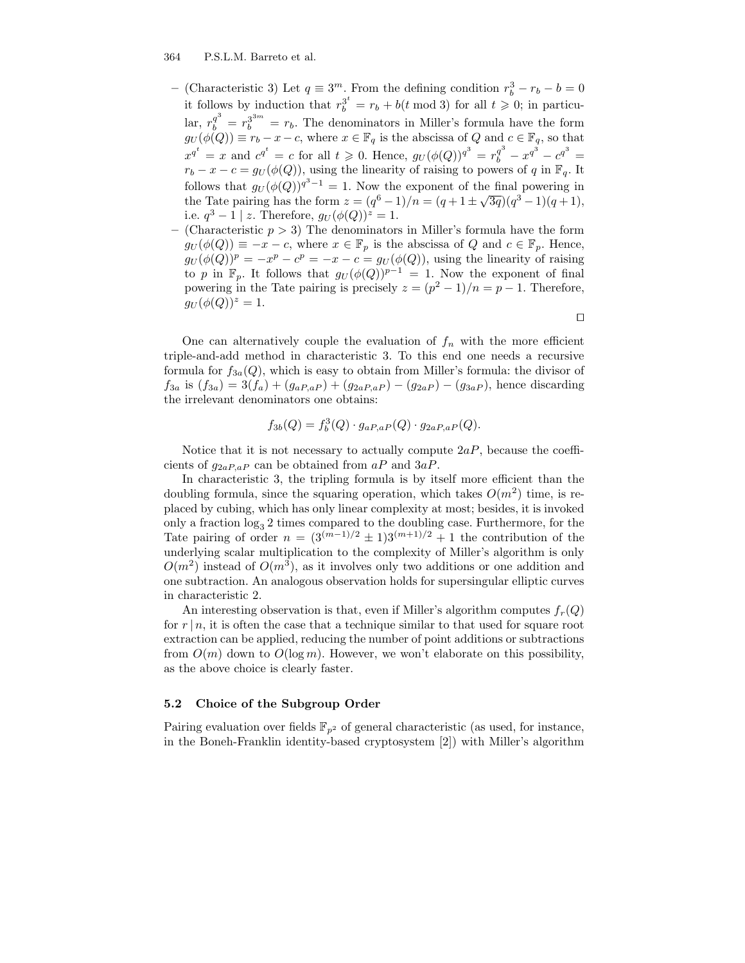- (Characteristic 3) Let  $q \equiv 3^m$ . From the defining condition  $r_b^3 r_b b = 0$ it follows by induction that  $r_b^{3^t} = r_b + b(t \mod 3)$  for all  $t \geq 0$ ; in particular,  $r_b^{q^3} = r_b^{3^{3m}} = r_b$ . The denominators in Miller's formula have the form  $g_U(\phi(Q)) \equiv r_b - x - c$ , where  $x \in \mathbb{F}_q$  is the abscissa of Q and  $c \in \mathbb{F}_q$ , so that  $x^{q^t} = x$  and  $c^{q^t} = c$  for all  $t \geq 0$ . Hence,  $g_U(\phi(Q))^{q^3} = r_b^{q^3} - x^{q^3} - c^{q^3} =$  $r_b - x - c = g_U(\phi(Q))$ , using the linearity of raising to powers of q in  $\mathbb{F}_q$ . It follows that  $g_U(\phi(Q))^{q^3-1} = 1$ . Now the exponent of the final powering in the Tate pairing has the form  $z = (q^6 - 1)/n = (q + 1 \pm \sqrt{3q})(q^3 - 1)(q + 1)$ , i.e.  $q^3 - 1 \mid z$ . Therefore,  $g_U(\phi(Q))^z = 1$ .
- (Characteristic  $p > 3$ ) The denominators in Miller's formula have the form  $g_U(\phi(Q)) \equiv -x - c$ , where  $x \in \mathbb{F}_p$  is the abscissa of Q and  $c \in \mathbb{F}_p$ . Hence,  $g_U(\phi(Q))^p = -x^p - c^p = -x - c = g_U(\phi(Q))$ , using the linearity of raising to p in  $\mathbb{F}_p$ . It follows that  $g_U(\phi(Q))^{p-1} = 1$ . Now the exponent of final powering in the Tate pairing is precisely  $z = (p^2 - 1)/n = p - 1$ . Therefore,  $g_U(\phi(Q))^z = 1.$

 $\Box$ 

One can alternatively couple the evaluation of  $f_n$  with the more efficient triple-and-add method in characteristic 3. To this end one needs a recursive formula for  $f_{3a}(Q)$ , which is easy to obtain from Miller's formula: the divisor of  $f_{3a}$  is  $(f_{3a}) = 3(f_a) + (g_{aP,aP}) + (g_{2aP,aP}) - (g_{2aP}) - (g_{3aP})$ , hence discarding the irrelevant denominators one obtains:

$$
f_{3b}(Q) = f_b^3(Q) \cdot g_{aP,aP}(Q) \cdot g_{2aP,aP}(Q).
$$

Notice that it is not necessary to actually compute  $2aP$ , because the coefficients of  $g_{2aP,aP}$  can be obtained from  $aP$  and  $3aP$ .

In characteristic 3, the tripling formula is by itself more efficient than the doubling formula, since the squaring operation, which takes  $O(m^2)$  time, is replaced by cubing, which has only linear complexity at most; besides, it is invoked only a fraction  $\log_3 2$  times compared to the doubling case. Furthermore, for the Tate pairing of order  $n = (3^{(m-1)/2} \pm 1)3^{(m+1)/2} + 1$  the contribution of the underlying scalar multiplication to the complexity of Miller's algorithm is only  $O(m^2)$  instead of  $O(m^3)$ , as it involves only two additions or one addition and one subtraction. An analogous observation holds for supersingular elliptic curves in characteristic 2.

An interesting observation is that, even if Miller's algorithm computes  $f_r(Q)$ for  $r \mid n$ , it is often the case that a technique similar to that used for square root extraction can be applied, reducing the number of point additions or subtractions from  $O(m)$  down to  $O(\log m)$ . However, we won't elaborate on this possibility, as the above choice is clearly faster.

#### 5.2 Choice of the Subgroup Order

Pairing evaluation over fields  $\mathbb{F}_{p^2}$  of general characteristic (as used, for instance, in the Boneh-Franklin identity-based cryptosystem [2]) with Miller's algorithm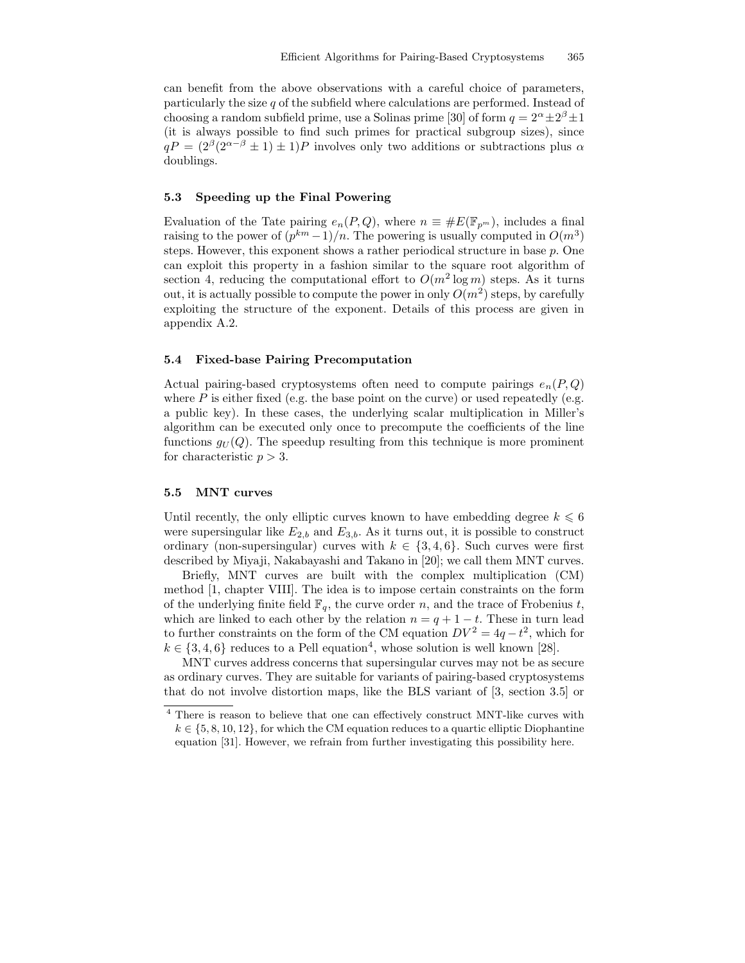can benefit from the above observations with a careful choice of parameters, particularly the size q of the subfield where calculations are performed. Instead of choosing a random subfield prime, use a Solinas prime [30] of form  $q = 2^{\alpha} \pm 2^{\beta} \pm 1$ (it is always possible to find such primes for practical subgroup sizes), since  $qP = (2^{\beta}(2^{\alpha-\beta} \pm 1) \pm 1)P$  involves only two additions or subtractions plus  $\alpha$ doublings.

#### 5.3 Speeding up the Final Powering

Evaluation of the Tate pairing  $e_n(P,Q)$ , where  $n \equiv \#E(\mathbb{F}_{p^m})$ , includes a final raising to the power of  $(p^{km}-1)/n$ . The powering is usually computed in  $O(m^3)$ steps. However, this exponent shows a rather periodical structure in base p. One can exploit this property in a fashion similar to the square root algorithm of section 4, reducing the computational effort to  $O(m^2 \log m)$  steps. As it turns out, it is actually possible to compute the power in only  $O(m^2)$  steps, by carefully exploiting the structure of the exponent. Details of this process are given in appendix A.2.

#### 5.4 Fixed-base Pairing Precomputation

Actual pairing-based cryptosystems often need to compute pairings  $e_n(P,Q)$ where P is either fixed (e.g. the base point on the curve) or used repeatedly (e.g. a public key). In these cases, the underlying scalar multiplication in Miller's algorithm can be executed only once to precompute the coefficients of the line functions  $g_U(Q)$ . The speedup resulting from this technique is more prominent for characteristic  $p > 3$ .

#### 5.5 MNT curves

Until recently, the only elliptic curves known to have embedding degree  $k \leq 6$ were supersingular like  $E_{2,b}$  and  $E_{3,b}$ . As it turns out, it is possible to construct ordinary (non-supersingular) curves with  $k \in \{3, 4, 6\}$ . Such curves were first described by Miyaji, Nakabayashi and Takano in [20]; we call them MNT curves.

Briefly, MNT curves are built with the complex multiplication (CM) method [1, chapter VIII]. The idea is to impose certain constraints on the form of the underlying finite field  $\mathbb{F}_q$ , the curve order n, and the trace of Frobenius t, which are linked to each other by the relation  $n = q + 1 - t$ . These in turn lead to further constraints on the form of the CM equation  $DV^2 = 4q - t^2$ , which for  $k \in \{3, 4, 6\}$  reduces to a Pell equation<sup>4</sup>, whose solution is well known [28].

MNT curves address concerns that supersingular curves may not be as secure as ordinary curves. They are suitable for variants of pairing-based cryptosystems that do not involve distortion maps, like the BLS variant of [3, section 3.5] or

<sup>4</sup> There is reason to believe that one can effectively construct MNT-like curves with  $k \in \{5, 8, 10, 12\}$ , for which the CM equation reduces to a quartic elliptic Diophantine equation [31]. However, we refrain from further investigating this possibility here.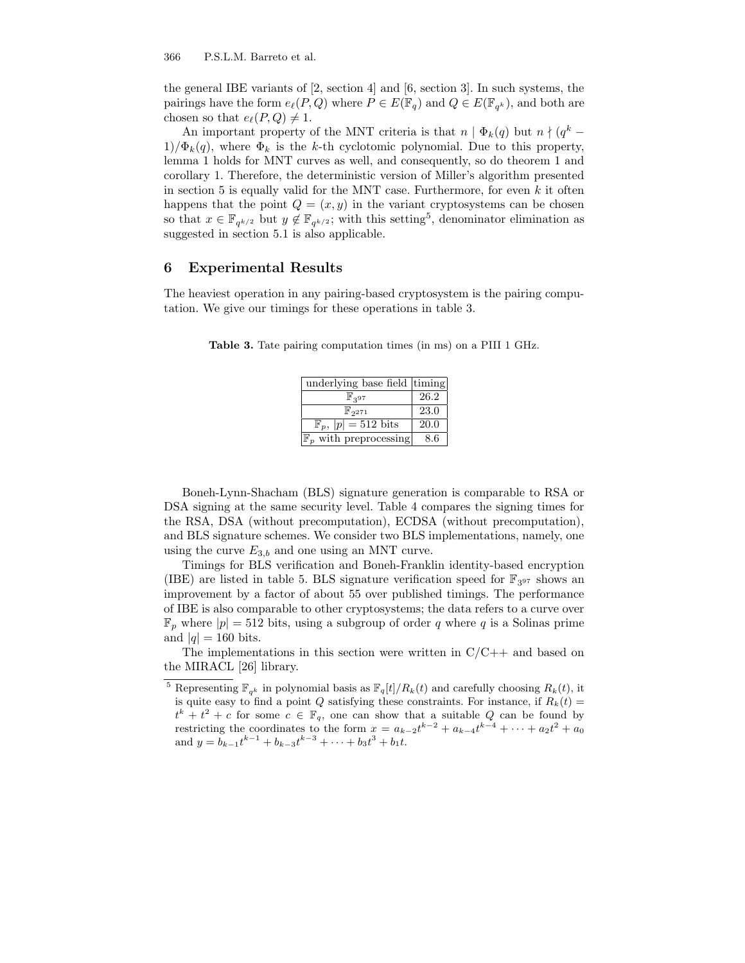the general IBE variants of [2, section 4] and [6, section 3]. In such systems, the pairings have the form  $e_{\ell}(P,Q)$  where  $P \in E(\mathbb{F}_q)$  and  $Q \in E(\mathbb{F}_{q^k})$ , and both are chosen so that  $e_{\ell}(P, Q) \neq 1$ .

An important property of the MNT criteria is that  $n | \Phi_k(q)$  but  $n | (q^k 1/\Phi_k(q)$ , where  $\Phi_k$  is the k-th cyclotomic polynomial. Due to this property, lemma 1 holds for MNT curves as well, and consequently, so do theorem 1 and corollary 1. Therefore, the deterministic version of Miller's algorithm presented in section 5 is equally valid for the MNT case. Furthermore, for even  $k$  it often happens that the point  $Q = (x, y)$  in the variant cryptosystems can be chosen so that  $x \in \mathbb{F}_{q^{k/2}}$  but  $y \notin \mathbb{F}_{q^{k/2}}$ ; with this setting<sup>5</sup>, denominator elimination as suggested in section 5.1 is also applicable.

# 6 Experimental Results

The heaviest operation in any pairing-based cryptosystem is the pairing computation. We give our timings for these operations in table 3.

| underlying base field timing      |      |
|-----------------------------------|------|
| $\mathbb{F}_{397}$                | 26.2 |
| $\mathbb{F}_{2^{271}}$            | 23.0 |
| $\mathbb{F}_p,  p =512$ bits      | 20.0 |
| $\mathbb{F}_p$ with preprocessing | 8.6  |

Table 3. Tate pairing computation times (in ms) on a PIII 1 GHz.

Boneh-Lynn-Shacham (BLS) signature generation is comparable to RSA or DSA signing at the same security level. Table 4 compares the signing times for the RSA, DSA (without precomputation), ECDSA (without precomputation), and BLS signature schemes. We consider two BLS implementations, namely, one using the curve  $E_{3,b}$  and one using an MNT curve.

Timings for BLS verification and Boneh-Franklin identity-based encryption (IBE) are listed in table 5. BLS signature verification speed for  $\mathbb{F}_{3^{97}}$  shows an improvement by a factor of about 55 over published timings. The performance of IBE is also comparable to other cryptosystems; the data refers to a curve over  $\mathbb{F}_p$  where  $|p|=512$  bits, using a subgroup of order q where q is a Solinas prime and  $|q| = 160$  bits.

The implementations in this section were written in  $C/C++$  and based on the MIRACL [26] library.

<sup>&</sup>lt;sup>5</sup> Representing  $\mathbb{F}_{q^k}$  in polynomial basis as  $\mathbb{F}_q[t]/R_k(t)$  and carefully choosing  $R_k(t)$ , it is quite easy to find a point Q satisfying these constraints. For instance, if  $R_k(t) =$  $t^k + t^2 + c$  for some  $c \in \mathbb{F}_q$ , one can show that a suitable Q can be found by restricting the coordinates to the form  $x = a_{k-2}t^{k-2} + a_{k-4}t^{k-4} + \cdots + a_2t^2 + a_0$ and  $y = b_{k-1}t^{k-1} + b_{k-3}t^{k-3} + \cdots + b_3t^3 + b_1t$ .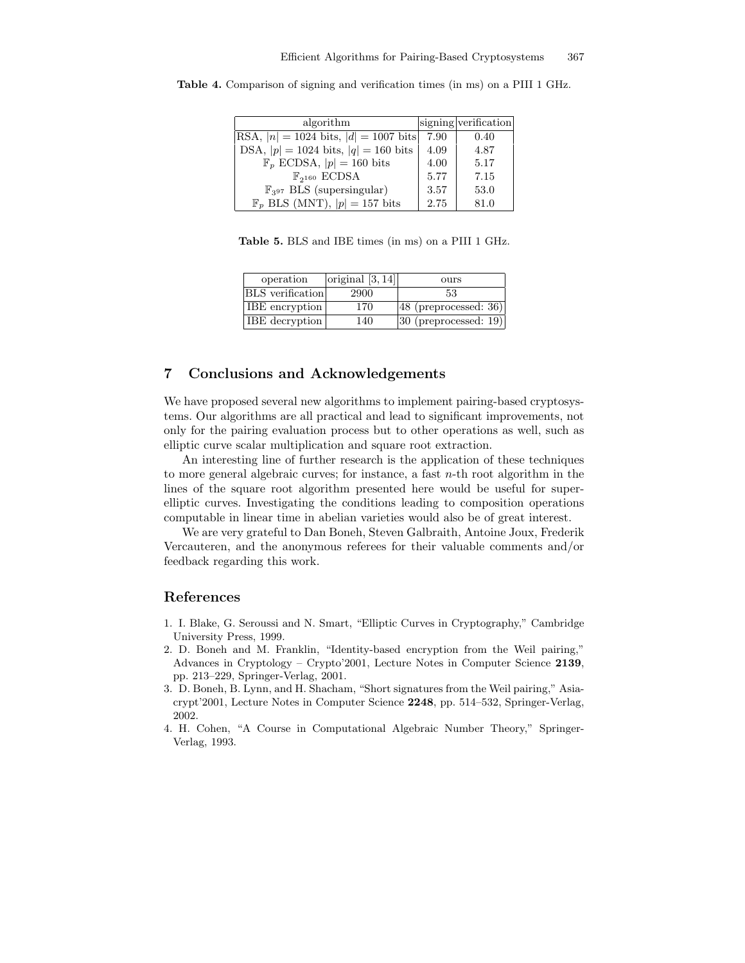| algorithm                                 |      | signing verification |
|-------------------------------------------|------|----------------------|
| RSA, $ n  = 1024$ bits, $ d  = 1007$ bits | 7.90 | 0.40                 |
| DSA, $ p  = 1024$ bits, $ q  = 160$ bits  | 4.09 | 4.87                 |
| $\mathbb{F}_p$ ECDSA, $ p =160$ bits      | 4.00 | 5.17                 |
| $\mathbb{F}_{2^{160}}$ ECDSA              | 5.77 | 7.15                 |
| $\mathbb{F}_{397}$ BLS (supersingular)    | 3.57 | 53.0                 |
| $\mathbb{F}_p$ BLS (MNT), $ p =157$ bits  | 2.75 | 81.0                 |

Table 4. Comparison of signing and verification times (in ms) on a PIII 1 GHz.

Table 5. BLS and IBE times (in ms) on a PIII 1 GHz.

| operation               | original $[3, 14]$ | ours                    |
|-------------------------|--------------------|-------------------------|
| <b>BLS</b> verification | 2900               | 53                      |
| <b>IBE</b> encryption   | 170                | $48$ (preprocessed: 36) |
| <b>IBE</b> decryption   | 140                | $30$ (preprocessed: 19) |

# 7 Conclusions and Acknowledgements

We have proposed several new algorithms to implement pairing-based cryptosystems. Our algorithms are all practical and lead to significant improvements, not only for the pairing evaluation process but to other operations as well, such as elliptic curve scalar multiplication and square root extraction.

An interesting line of further research is the application of these techniques to more general algebraic curves; for instance, a fast  $n$ -th root algorithm in the lines of the square root algorithm presented here would be useful for superelliptic curves. Investigating the conditions leading to composition operations computable in linear time in abelian varieties would also be of great interest.

We are very grateful to Dan Boneh, Steven Galbraith, Antoine Joux, Frederik Vercauteren, and the anonymous referees for their valuable comments and/or feedback regarding this work.

# References

- 1. I. Blake, G. Seroussi and N. Smart, "Elliptic Curves in Cryptography," Cambridge University Press, 1999.
- 2. D. Boneh and M. Franklin, "Identity-based encryption from the Weil pairing," Advances in Cryptology – Crypto'2001, Lecture Notes in Computer Science 2139, pp. 213–229, Springer-Verlag, 2001.
- 3. D. Boneh, B. Lynn, and H. Shacham, "Short signatures from the Weil pairing," Asiacrypt'2001, Lecture Notes in Computer Science 2248, pp. 514–532, Springer-Verlag, 2002.
- 4. H. Cohen, "A Course in Computational Algebraic Number Theory," Springer-Verlag, 1993.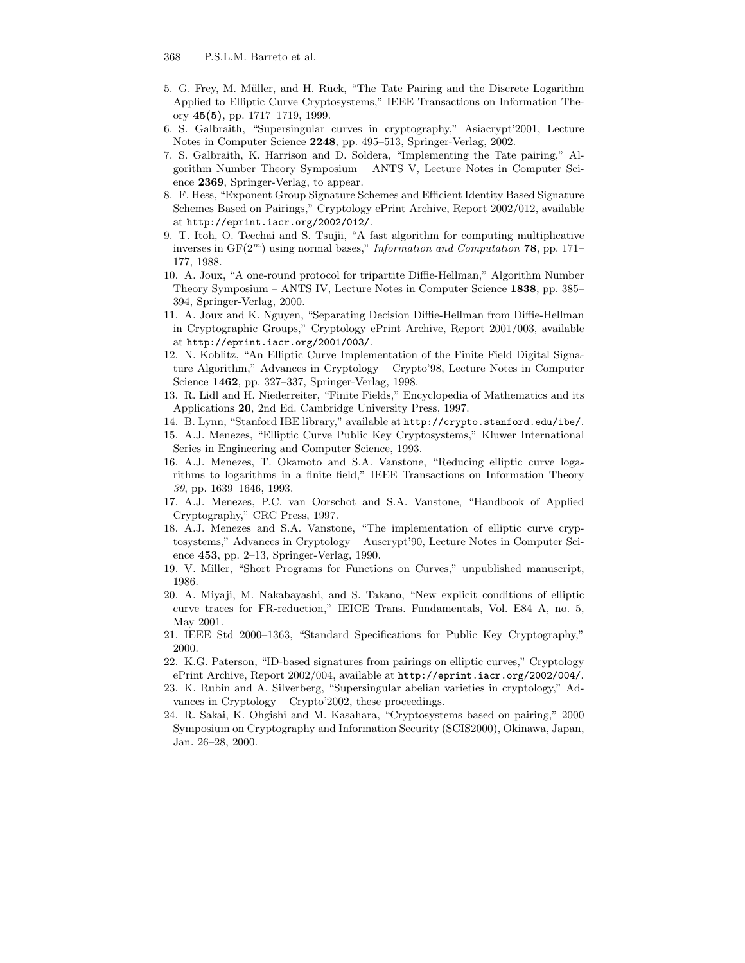- 5. G. Frey, M. Müller, and H. Rück, "The Tate Pairing and the Discrete Logarithm Applied to Elliptic Curve Cryptosystems," IEEE Transactions on Information Theory 45(5), pp. 1717–1719, 1999.
- 6. S. Galbraith, "Supersingular curves in cryptography," Asiacrypt'2001, Lecture Notes in Computer Science 2248, pp. 495–513, Springer-Verlag, 2002.
- 7. S. Galbraith, K. Harrison and D. Soldera, "Implementing the Tate pairing," Algorithm Number Theory Symposium – ANTS V, Lecture Notes in Computer Science 2369, Springer-Verlag, to appear.
- 8. F. Hess, "Exponent Group Signature Schemes and Efficient Identity Based Signature Schemes Based on Pairings," Cryptology ePrint Archive, Report 2002/012, available at http://eprint.iacr.org/2002/012/.
- 9. T. Itoh, O. Teechai and S. Tsujii, "A fast algorithm for computing multiplicative inverses in  $GF(2^m)$  using normal bases," Information and Computation 78, pp. 171– 177, 1988.
- 10. A. Joux, "A one-round protocol for tripartite Diffie-Hellman," Algorithm Number Theory Symposium – ANTS IV, Lecture Notes in Computer Science 1838, pp. 385– 394, Springer-Verlag, 2000.
- 11. A. Joux and K. Nguyen, "Separating Decision Diffie-Hellman from Diffie-Hellman in Cryptographic Groups," Cryptology ePrint Archive, Report 2001/003, available at http://eprint.iacr.org/2001/003/.
- 12. N. Koblitz, "An Elliptic Curve Implementation of the Finite Field Digital Signature Algorithm," Advances in Cryptology – Crypto'98, Lecture Notes in Computer Science 1462, pp. 327–337, Springer-Verlag, 1998.
- 13. R. Lidl and H. Niederreiter, "Finite Fields," Encyclopedia of Mathematics and its Applications 20, 2nd Ed. Cambridge University Press, 1997.
- 14. B. Lynn, "Stanford IBE library," available at http://crypto.stanford.edu/ibe/.
- 15. A.J. Menezes, "Elliptic Curve Public Key Cryptosystems," Kluwer International Series in Engineering and Computer Science, 1993.
- 16. A.J. Menezes, T. Okamoto and S.A. Vanstone, "Reducing elliptic curve logarithms to logarithms in a finite field," IEEE Transactions on Information Theory 39, pp. 1639–1646, 1993.
- 17. A.J. Menezes, P.C. van Oorschot and S.A. Vanstone, "Handbook of Applied Cryptography," CRC Press, 1997.
- 18. A.J. Menezes and S.A. Vanstone, "The implementation of elliptic curve cryptosystems," Advances in Cryptology – Auscrypt'90, Lecture Notes in Computer Science 453, pp. 2–13, Springer-Verlag, 1990.
- 19. V. Miller, "Short Programs for Functions on Curves," unpublished manuscript, 1986.
- 20. A. Miyaji, M. Nakabayashi, and S. Takano, "New explicit conditions of elliptic curve traces for FR-reduction," IEICE Trans. Fundamentals, Vol. E84 A, no. 5, May 2001.
- 21. IEEE Std 2000–1363, "Standard Specifications for Public Key Cryptography," 2000.
- 22. K.G. Paterson, "ID-based signatures from pairings on elliptic curves," Cryptology ePrint Archive, Report 2002/004, available at http://eprint.iacr.org/2002/004/.
- 23. K. Rubin and A. Silverberg, "Supersingular abelian varieties in cryptology," Advances in Cryptology – Crypto'2002, these proceedings.
- 24. R. Sakai, K. Ohgishi and M. Kasahara, "Cryptosystems based on pairing," 2000 Symposium on Cryptography and Information Security (SCIS2000), Okinawa, Japan, Jan. 26–28, 2000.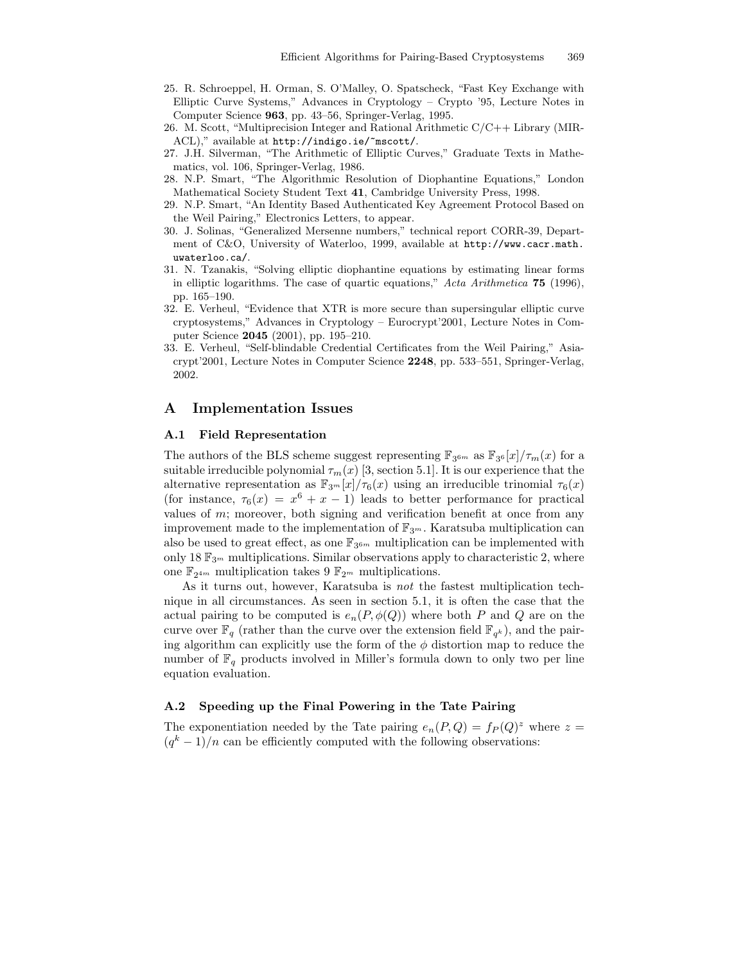- 25. R. Schroeppel, H. Orman, S. O'Malley, O. Spatscheck, "Fast Key Exchange with Elliptic Curve Systems," Advances in Cryptology – Crypto '95, Lecture Notes in Computer Science 963, pp. 43–56, Springer-Verlag, 1995.
- 26. M. Scott, "Multiprecision Integer and Rational Arithmetic C/C++ Library (MIR-ACL)," available at http://indigo.ie/~mscott/.
- 27. J.H. Silverman, "The Arithmetic of Elliptic Curves," Graduate Texts in Mathematics, vol. 106, Springer-Verlag, 1986.
- 28. N.P. Smart, "The Algorithmic Resolution of Diophantine Equations," London Mathematical Society Student Text 41, Cambridge University Press, 1998.
- 29. N.P. Smart, "An Identity Based Authenticated Key Agreement Protocol Based on the Weil Pairing," Electronics Letters, to appear.
- 30. J. Solinas, "Generalized Mersenne numbers," technical report CORR-39, Department of C&O, University of Waterloo, 1999, available at http://www.cacr.math. uwaterloo.ca/.
- 31. N. Tzanakis, "Solving elliptic diophantine equations by estimating linear forms in elliptic logarithms. The case of quartic equations," Acta Arithmetica 75 (1996), pp. 165–190.
- 32. E. Verheul, "Evidence that XTR is more secure than supersingular elliptic curve cryptosystems," Advances in Cryptology – Eurocrypt'2001, Lecture Notes in Computer Science 2045 (2001), pp. 195–210.
- 33. E. Verheul, "Self-blindable Credential Certificates from the Weil Pairing," Asiacrypt'2001, Lecture Notes in Computer Science 2248, pp. 533–551, Springer-Verlag, 2002.

# A Implementation Issues

## A.1 Field Representation

The authors of the BLS scheme suggest representing  $\mathbb{F}_{3^{6m}}$  as  $\mathbb{F}_{3^6}[x]/\tau_m(x)$  for a suitable irreducible polynomial  $\tau_m(x)$  [3, section 5.1]. It is our experience that the alternative representation as  $\mathbb{F}_{3^m}[x]/\tau_6(x)$  using an irreducible trinomial  $\tau_6(x)$ (for instance,  $\tau_6(x) = x^6 + x - 1$ ) leads to better performance for practical values of  $m$ ; moreover, both signing and verification benefit at once from any improvement made to the implementation of  $\mathbb{F}_{3^m}$ . Karatsuba multiplication can also be used to great effect, as one  $\mathbb{F}_{3^{6m}}$  multiplication can be implemented with only 18  $\mathbb{F}_{3^m}$  multiplications. Similar observations apply to characteristic 2, where one  $\mathbb{F}_{2^{4m}}$  multiplication takes  $9 \mathbb{F}_{2^m}$  multiplications.

As it turns out, however, Karatsuba is not the fastest multiplication technique in all circumstances. As seen in section 5.1, it is often the case that the actual pairing to be computed is  $e_n(P, \phi(Q))$  where both P and Q are on the curve over  $\mathbb{F}_q$  (rather than the curve over the extension field  $\mathbb{F}_{q^k}$ ), and the pairing algorithm can explicitly use the form of the  $\phi$  distortion map to reduce the number of  $\mathbb{F}_q$  products involved in Miller's formula down to only two per line equation evaluation.

## A.2 Speeding up the Final Powering in the Tate Pairing

The exponentiation needed by the Tate pairing  $e_n(P,Q) = f_P(Q)^z$  where  $z =$  $(q<sup>k</sup> - 1)/n$  can be efficiently computed with the following observations: